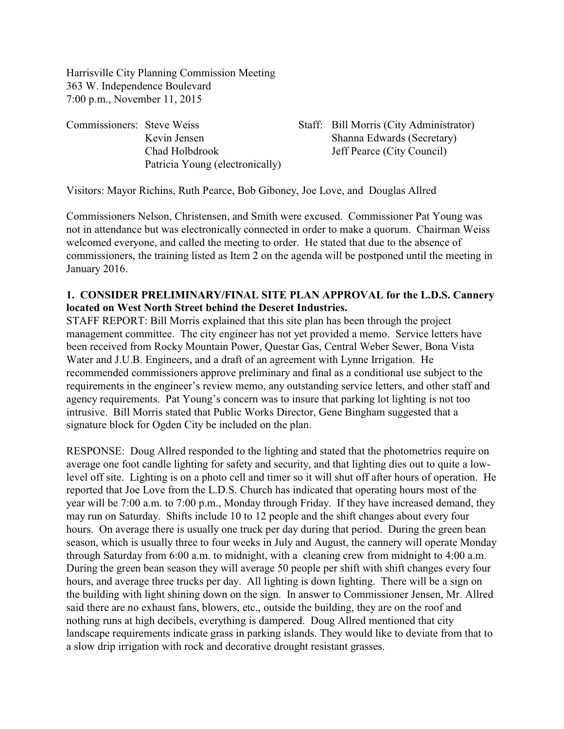Harrisville City Planning Commission Meeting 363 W. Independence Boulevard 7:00 p.m., November 11, 2015

Commissioners: Steve Weiss Staff: Bill Morris (City Administrator) Patricia Young (electronically)

Kevin Jensen Shanna Edwards (Secretary) Chad Holbdrook Jeff Pearce (City Council)

Visitors: Mayor Richins, Ruth Pearce, Bob Giboney, Joe Love, and Douglas Allred

Commissioners Nelson, Christensen, and Smith were excused. Commissioner Pat Young was not in attendance but was electronically connected in order to make a quorum. Chairman Weiss welcomed everyone, and called the meeting to order. He stated that due to the absence of commissioners, the training listed as Item 2 on the agenda will be postponed until the meeting in January 2016.

#### **1. CONSIDER PRELIMINARY/FINAL SITE PLAN APPROVAL for the L.D.S. Cannery located on West North Street behind the Deseret Industries.**

STAFF REPORT: Bill Morris explained that this site plan has been through the project management committee. The city engineer has not yet provided a memo. Service letters have been received from Rocky Mountain Power, Questar Gas, Central Weber Sewer, Bona Vista Water and J.U.B. Engineers, and a draft of an agreement with Lynne Irrigation. He recommended commissioners approve preliminary and final as a conditional use subject to the requirements in the engineer's review memo, any outstanding service letters, and other staff and agency requirements. Pat Young's concern was to insure that parking lot lighting is not too intrusive. Bill Morris stated that Public Works Director, Gene Bingham suggested that a signature block for Ogden City be included on the plan.

RESPONSE: Doug Allred responded to the lighting and stated that the photometrics require on average one foot candle lighting for safety and security, and that lighting dies out to quite a lowlevel off site. Lighting is on a photo cell and timer so it will shut off after hours of operation. He reported that Joe Love from the L.D.S. Church has indicated that operating hours most of the year will be 7:00 a.m. to 7:00 p.m., Monday through Friday. If they have increased demand, they may run on Saturday. Shifts include 10 to 12 people and the shift changes about every four hours. On average there is usually one truck per day during that period. During the green bean season, which is usually three to four weeks in July and August, the cannery will operate Monday through Saturday from 6:00 a.m. to midnight, with a cleaning crew from midnight to 4:00 a.m. During the green bean season they will average 50 people per shift with shift changes every four hours, and average three trucks per day. All lighting is down lighting. There will be a sign on the building with light shining down on the sign. In answer to Commissioner Jensen, Mr. Allred said there are no exhaust fans, blowers, etc., outside the building, they are on the roof and nothing runs at high decibels, everything is dampered. Doug Allred mentioned that city landscape requirements indicate grass in parking islands. They would like to deviate from that to a slow drip irrigation with rock and decorative drought resistant grasses.